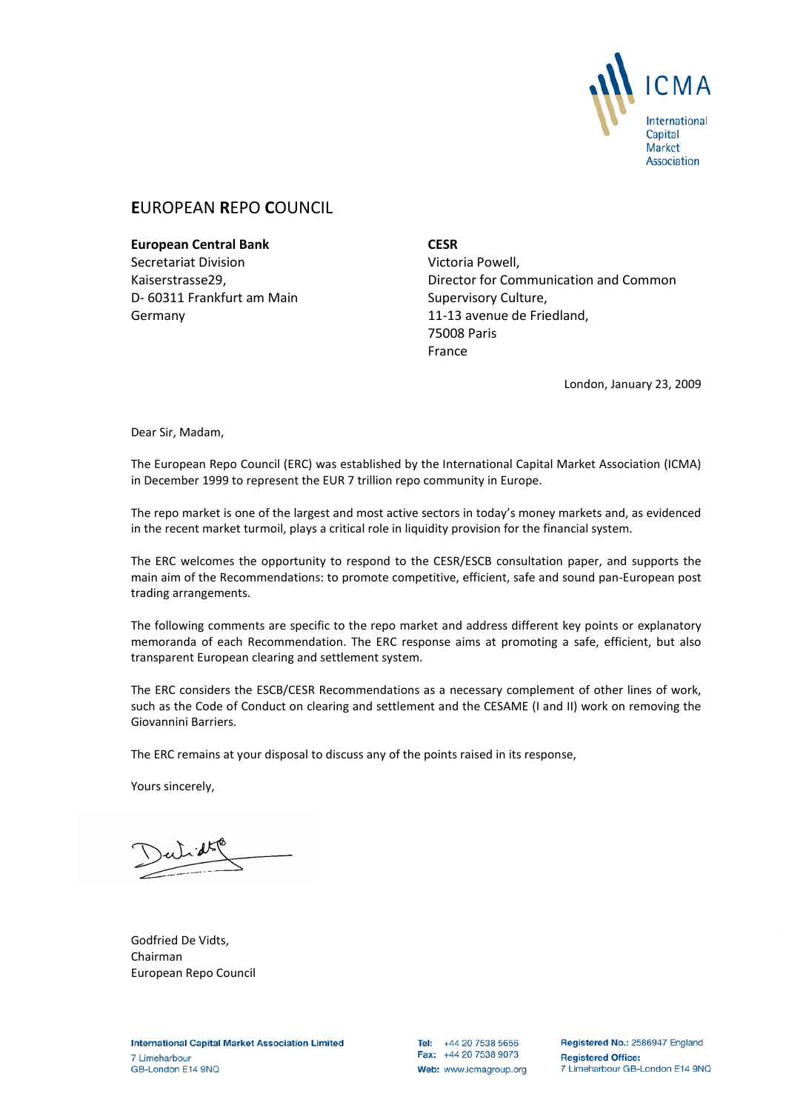

# **E**UROPEAN **R**EPO **C**OUNCIL

**European Central Bank** Secretariat Division Kaiserstrasse29, D- 60311 Frankfurt am Main Germany

**CESR** Victoria Powell, Director for Communication and Common Supervisory Culture, 11-13 avenue de Friedland, 75008 Paris France

London, January 23, 2009

Dear Sir, Madam,

The European Repo Council (ERC) was established by the International Capital Market Association (ICMA) in December 1999 to represent the EUR 7 trillion repo community in Europe.

The repo market is one of the largest and most active sectors in today's money markets and, as evidenced in the recent market turmoil, plays a critical role in liquidity provision for the financial system.

The ERC welcomes the opportunity to respond to the CESR/ESCB consultation paper, and supports the main aim of the Recommendations: to promote competitive, efficient, safe and sound pan-European post trading arrangements.

The following comments are specific to the repo market and address different key points or explanatory memoranda of each Recommendation. The ERC response aims at promoting a safe, efficient, but also transparent European clearing and settlement system.

The ERC considers the ESCB/CESR Recommendations as a necessary complement of other lines of work, such as the Code of Conduct on clearing and settlement and the CESAME (I and II) work on removing the Giovannini Barriers.

The ERC remains at your disposal to discuss any of the points raised in its response,

Yours sincerely,

Godfried De Vidts, Chairman European Repo Council

Tel: +44 20 7538 5656 Fax: +44 20 7538 9073 Web: www.icmagroup.org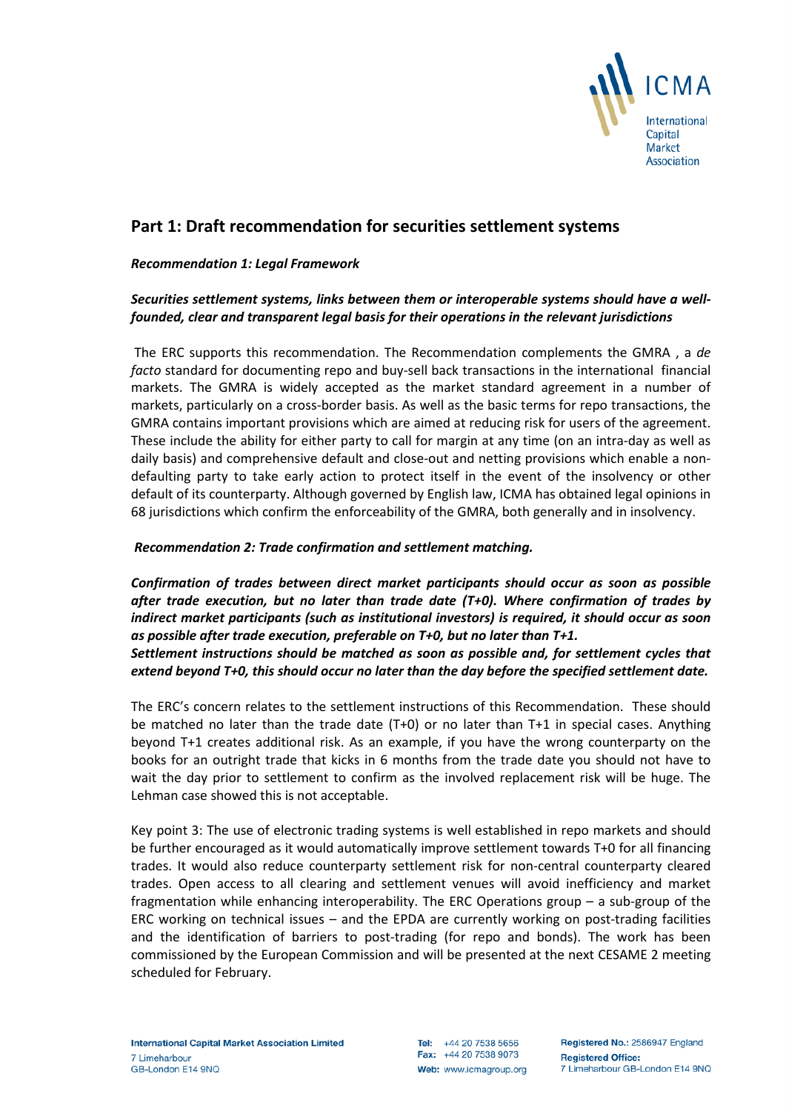

# **Part 1: Draft recommendation for securities settlement systems**

### *Recommendation 1: Legal Framework*

## *Securities settlement systems, links between them or interoperable systems should have a wellfounded, clear and transparent legal basis for their operations in the relevant jurisdictions*

The ERC supports this recommendation. The Recommendation complements the GMRA , a *de facto* standard for documenting repo and buy-sell back transactions in the international financial markets. The GMRA is widely accepted as the market standard agreement in a number of markets, particularly on a cross-border basis. As well as the basic terms for repo transactions, the GMRA contains important provisions which are aimed at reducing risk for users of the agreement. These include the ability for either party to call for margin at any time (on an intra-day as well as daily basis) and comprehensive default and close-out and netting provisions which enable a nondefaulting party to take early action to protect itself in the event of the insolvency or other default of its counterparty. Although governed by English law, ICMA has obtained legal opinions in 68 jurisdictions which confirm the enforceability of the GMRA, both generally and in insolvency.

#### *Recommendation 2: Trade confirmation and settlement matching.*

*Confirmation of trades between direct market participants should occur as soon as possible after trade execution, but no later than trade date (T+0). Where confirmation of trades by indirect market participants (such as institutional investors) is required, it should occur as soon as possible after trade execution, preferable on T+0, but no later than T+1. Settlement instructions should be matched as soon as possible and, for settlement cycles that extend beyond T+0, this should occur no later than the day before the specified settlement date.*

The ERC's concern relates to the settlement instructions of this Recommendation. These should be matched no later than the trade date (T+0) or no later than T+1 in special cases. Anything beyond T+1 creates additional risk. As an example, if you have the wrong counterparty on the books for an outright trade that kicks in 6 months from the trade date you should not have to wait the day prior to settlement to confirm as the involved replacement risk will be huge. The Lehman case showed this is not acceptable.

Key point 3: The use of electronic trading systems is well established in repo markets and should be further encouraged as it would automatically improve settlement towards T+0 for all financing trades. It would also reduce counterparty settlement risk for non-central counterparty cleared trades. Open access to all clearing and settlement venues will avoid inefficiency and market fragmentation while enhancing interoperability. The ERC Operations group – a sub-group of the ERC working on technical issues – and the EPDA are currently working on post-trading facilities and the identification of barriers to post-trading (for repo and bonds). The work has been commissioned by the European Commission and will be presented at the next CESAME 2 meeting scheduled for February.

Tel: +44 20 7538 5656 Fax: +44 20 7538 9073 Web: www.icmagroup.org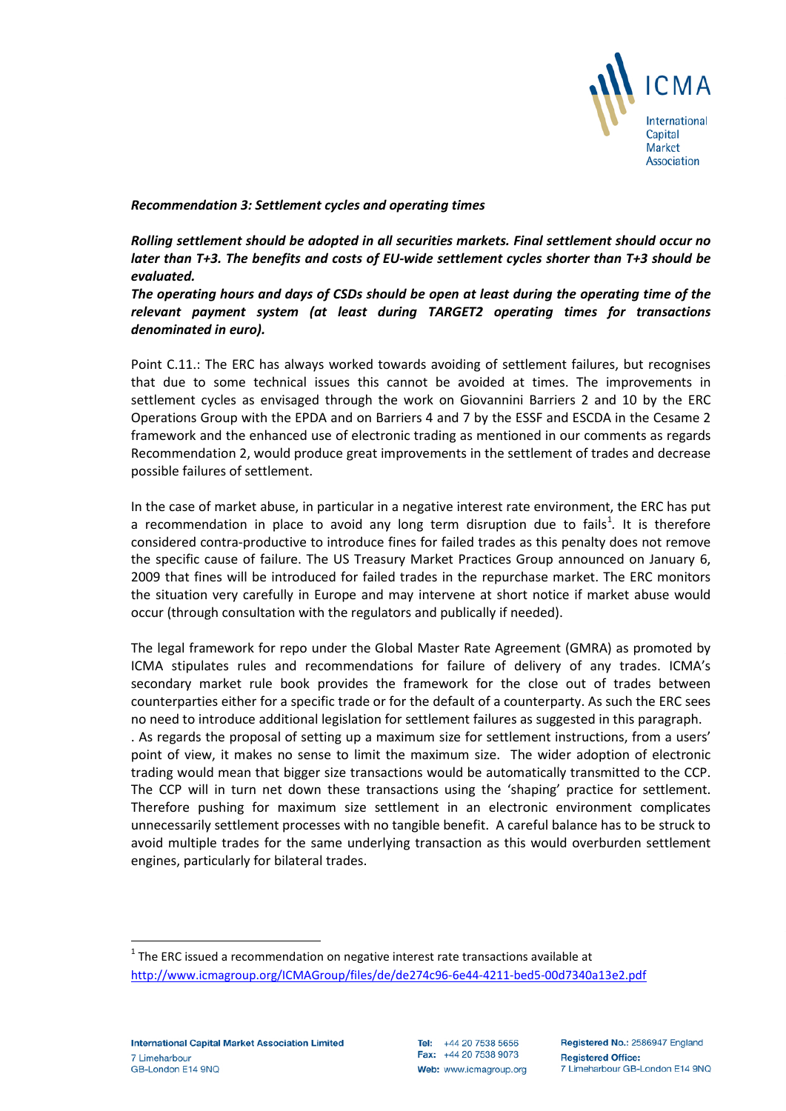

*Recommendation 3: Settlement cycles and operating times*

*Rolling settlement should be adopted in all securities markets. Final settlement should occur no later than T+3. The benefits and costs of EU-wide settlement cycles shorter than T+3 should be evaluated.* 

*The operating hours and days of CSDs should be open at least during the operating time of the relevant payment system (at least during TARGET2 operating times for transactions denominated in euro).* 

Point C.11.: The ERC has always worked towards avoiding of settlement failures, but recognises that due to some technical issues this cannot be avoided at times. The improvements in settlement cycles as envisaged through the work on Giovannini Barriers 2 and 10 by the ERC Operations Group with the EPDA and on Barriers 4 and 7 by the ESSF and ESCDA in the Cesame 2 framework and the enhanced use of electronic trading as mentioned in our comments as regards Recommendation 2, would produce great improvements in the settlement of trades and decrease possible failures of settlement.

In the case of market abuse, in particular in a negative interest rate environment, the ERC has put a recommendation in place to avoid any long term disruption due to fails<sup>[1](#page-2-0)</sup>. It is therefore considered contra-productive to introduce fines for failed trades as this penalty does not remove the specific cause of failure. The US Treasury Market Practices Group announced on January 6, 2009 that fines will be introduced for failed trades in the repurchase market. The ERC monitors the situation very carefully in Europe and may intervene at short notice if market abuse would occur (through consultation with the regulators and publically if needed).

The legal framework for repo under the Global Master Rate Agreement (GMRA) as promoted by ICMA stipulates rules and recommendations for failure of delivery of any trades. ICMA's secondary market rule book provides the framework for the close out of trades between counterparties either for a specific trade or for the default of a counterparty. As such the ERC sees no need to introduce additional legislation for settlement failures as suggested in this paragraph.

. As regards the proposal of setting up a maximum size for settlement instructions, from a users' point of view, it makes no sense to limit the maximum size. The wider adoption of electronic trading would mean that bigger size transactions would be automatically transmitted to the CCP. The CCP will in turn net down these transactions using the 'shaping' practice for settlement. Therefore pushing for maximum size settlement in an electronic environment complicates unnecessarily settlement processes with no tangible benefit. A careful balance has to be struck to avoid multiple trades for the same underlying transaction as this would overburden settlement engines, particularly for bilateral trades.

<span id="page-2-0"></span> $1$  The ERC issued a recommendation on negative interest rate transactions available at <http://www.icmagroup.org/ICMAGroup/files/de/de274c96-6e44-4211-bed5-00d7340a13e2.pdf>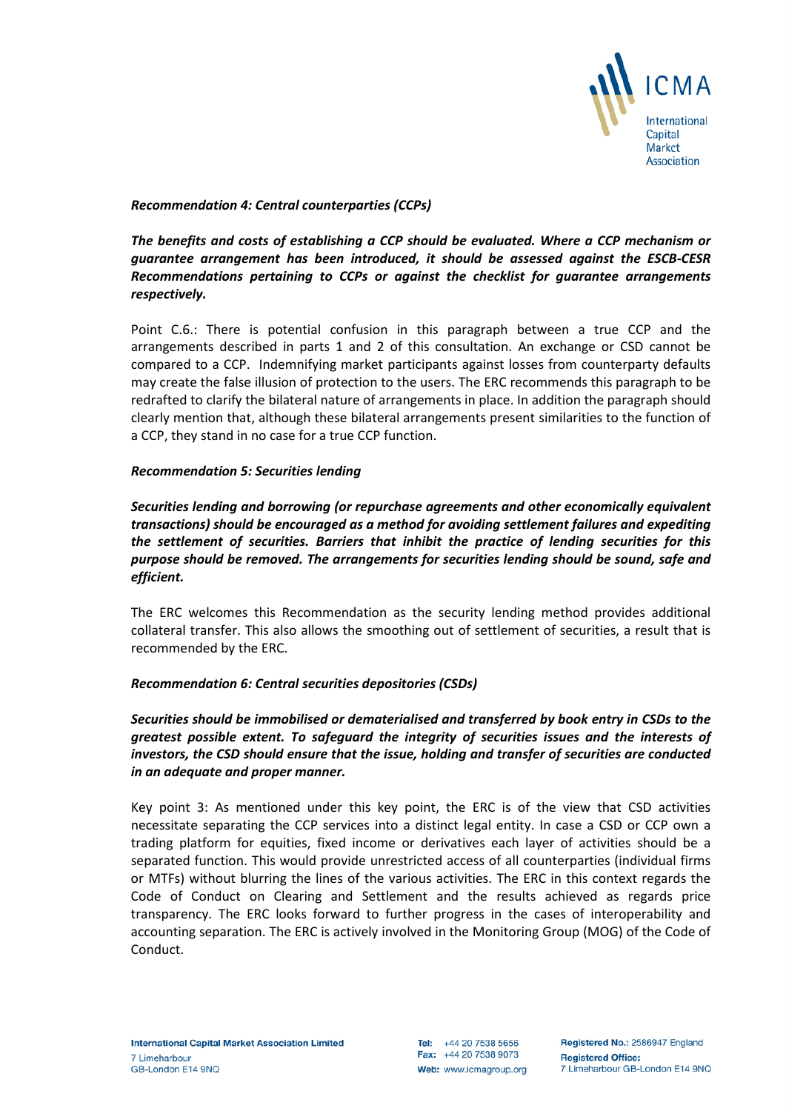

*Recommendation 4: Central counterparties (CCPs)*

*The benefits and costs of establishing a CCP should be evaluated. Where a CCP mechanism or guarantee arrangement has been introduced, it should be assessed against the ESCB-CESR Recommendations pertaining to CCPs or against the checklist for guarantee arrangements respectively.* 

Point C.6.: There is potential confusion in this paragraph between a true CCP and the arrangements described in parts 1 and 2 of this consultation. An exchange or CSD cannot be compared to a CCP. Indemnifying market participants against losses from counterparty defaults may create the false illusion of protection to the users. The ERC recommends this paragraph to be redrafted to clarify the bilateral nature of arrangements in place. In addition the paragraph should clearly mention that, although these bilateral arrangements present similarities to the function of a CCP, they stand in no case for a true CCP function.

## *Recommendation 5: Securities lending*

*Securities lending and borrowing (or repurchase agreements and other economically equivalent transactions) should be encouraged as a method for avoiding settlement failures and expediting the settlement of securities. Barriers that inhibit the practice of lending securities for this purpose should be removed. The arrangements for securities lending should be sound, safe and efficient.*

The ERC welcomes this Recommendation as the security lending method provides additional collateral transfer. This also allows the smoothing out of settlement of securities, a result that is recommended by the ERC.

## *Recommendation 6: Central securities depositories (CSDs)*

*Securities should be immobilised or dematerialised and transferred by book entry in CSDs to the greatest possible extent. To safeguard the integrity of securities issues and the interests of investors, the CSD should ensure that the issue, holding and transfer of securities are conducted in an adequate and proper manner.* 

Key point 3: As mentioned under this key point, the ERC is of the view that CSD activities necessitate separating the CCP services into a distinct legal entity. In case a CSD or CCP own a trading platform for equities, fixed income or derivatives each layer of activities should be a separated function. This would provide unrestricted access of all counterparties (individual firms or MTFs) without blurring the lines of the various activities. The ERC in this context regards the Code of Conduct on Clearing and Settlement and the results achieved as regards price transparency. The ERC looks forward to further progress in the cases of interoperability and accounting separation. The ERC is actively involved in the Monitoring Group (MOG) of the Code of Conduct.

Tel: +44 20 7538 5656 Fax: +44 20 7538 9073 Web: www.icmagroup.org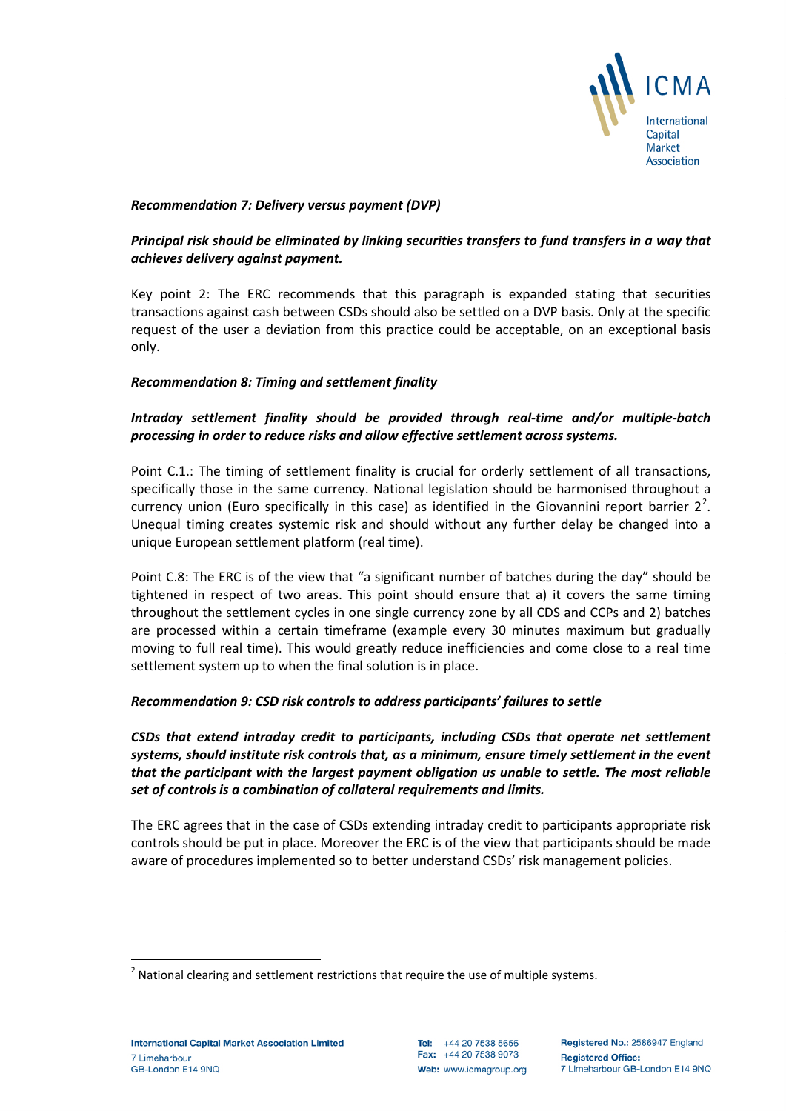

## *Recommendation 7: Delivery versus payment (DVP)*

## *Principal risk should be eliminated by linking securities transfers to fund transfers in a way that achieves delivery against payment.*

Key point 2: The ERC recommends that this paragraph is expanded stating that securities transactions against cash between CSDs should also be settled on a DVP basis. Only at the specific request of the user a deviation from this practice could be acceptable, on an exceptional basis only.

## *Recommendation 8: Timing and settlement finality*

## *Intraday settlement finality should be provided through real-time and/or multiple-batch processing in order to reduce risks and allow effective settlement across systems.*

Point C.1.: The timing of settlement finality is crucial for orderly settlement of all transactions, specifically those in the same currency. National legislation should be harmonised throughout a currency union (Euro specifically in this case) as identified in the Giovannini report barrier  $2^2$  $2^2$ . Unequal timing creates systemic risk and should without any further delay be changed into a unique European settlement platform (real time).

Point C.8: The ERC is of the view that "a significant number of batches during the day" should be tightened in respect of two areas. This point should ensure that a) it covers the same timing throughout the settlement cycles in one single currency zone by all CDS and CCPs and 2) batches are processed within a certain timeframe (example every 30 minutes maximum but gradually moving to full real time). This would greatly reduce inefficiencies and come close to a real time settlement system up to when the final solution is in place.

## *Recommendation 9: CSD risk controls to address participants' failures to settle*

*CSDs that extend intraday credit to participants, including CSDs that operate net settlement systems, should institute risk controls that, as a minimum, ensure timely settlement in the event that the participant with the largest payment obligation us unable to settle. The most reliable set of controls is a combination of collateral requirements and limits.*

The ERC agrees that in the case of CSDs extending intraday credit to participants appropriate risk controls should be put in place. Moreover the ERC is of the view that participants should be made aware of procedures implemented so to better understand CSDs' risk management policies.

<span id="page-4-0"></span> $2$  National clearing and settlement restrictions that require the use of multiple systems.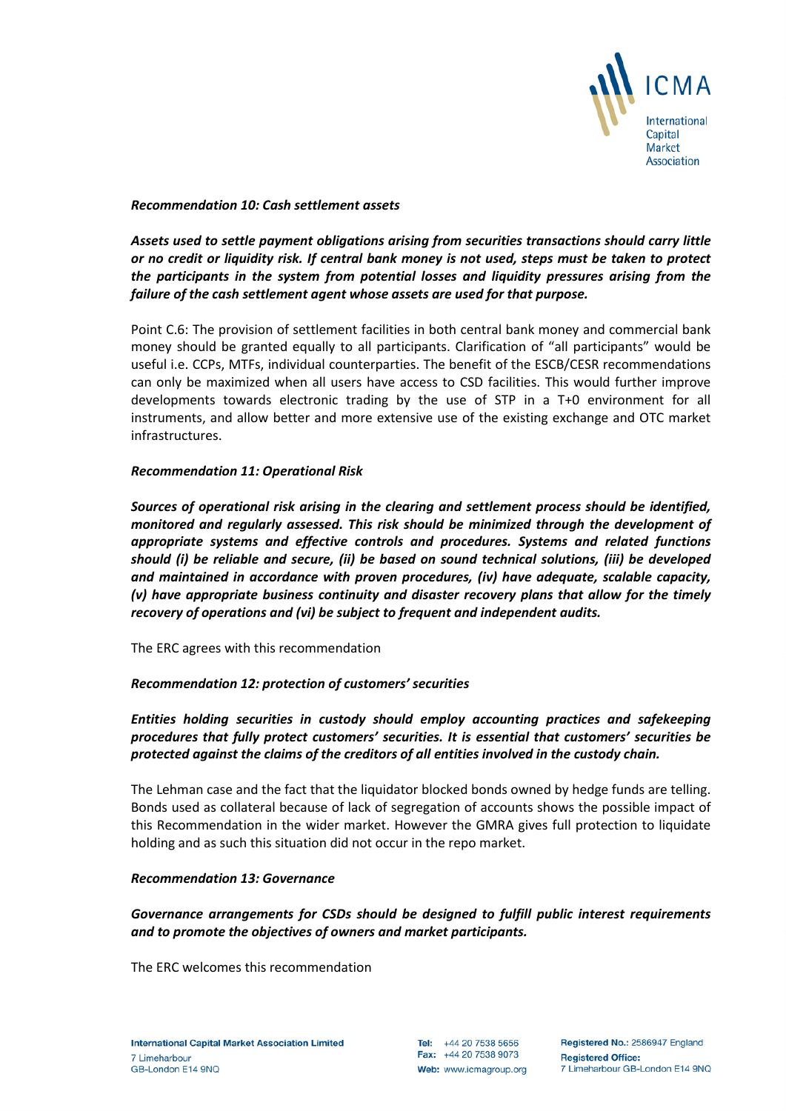

*Recommendation 10: Cash settlement assets*

*Assets used to settle payment obligations arising from securities transactions should carry little or no credit or liquidity risk. If central bank money is not used, steps must be taken to protect the participants in the system from potential losses and liquidity pressures arising from the failure of the cash settlement agent whose assets are used for that purpose.* 

Point C.6: The provision of settlement facilities in both central bank money and commercial bank money should be granted equally to all participants. Clarification of "all participants" would be useful i.e. CCPs, MTFs, individual counterparties. The benefit of the ESCB/CESR recommendations can only be maximized when all users have access to CSD facilities. This would further improve developments towards electronic trading by the use of STP in a T+0 environment for all instruments, and allow better and more extensive use of the existing exchange and OTC market infrastructures.

## *Recommendation 11: Operational Risk*

*Sources of operational risk arising in the clearing and settlement process should be identified, monitored and regularly assessed. This risk should be minimized through the development of appropriate systems and effective controls and procedures. Systems and related functions should (i) be reliable and secure, (ii) be based on sound technical solutions, (iii) be developed and maintained in accordance with proven procedures, (iv) have adequate, scalable capacity, (v) have appropriate business continuity and disaster recovery plans that allow for the timely recovery of operations and (vi) be subject to frequent and independent audits.* 

The ERC agrees with this recommendation

## *Recommendation 12: protection of customers' securities*

## *Entities holding securities in custody should employ accounting practices and safekeeping procedures that fully protect customers' securities. It is essential that customers' securities be protected against the claims of the creditors of all entities involved in the custody chain.*

The Lehman case and the fact that the liquidator blocked bonds owned by hedge funds are telling. Bonds used as collateral because of lack of segregation of accounts shows the possible impact of this Recommendation in the wider market. However the GMRA gives full protection to liquidate holding and as such this situation did not occur in the repo market.

## *Recommendation 13: Governance*

## *Governance arrangements for CSDs should be designed to fulfill public interest requirements and to promote the objectives of owners and market participants.*

The ERC welcomes this recommendation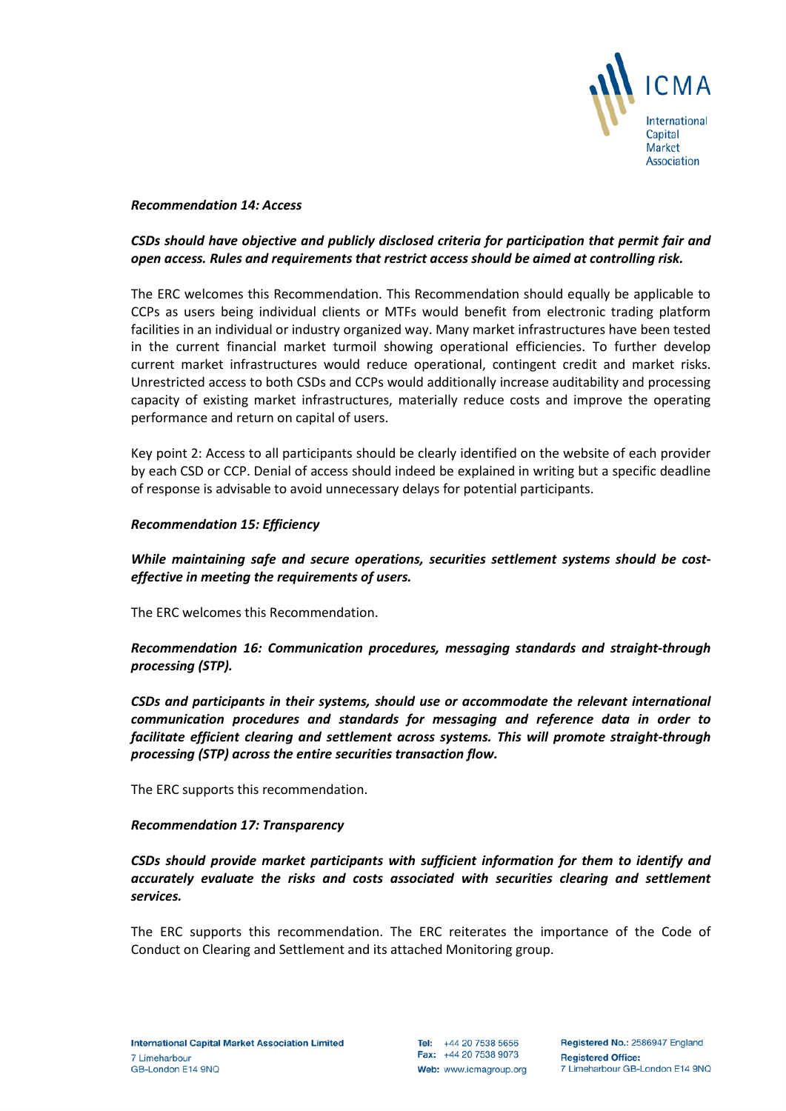

#### *Recommendation 14: Access*

## *CSDs should have objective and publicly disclosed criteria for participation that permit fair and open access. Rules and requirements that restrict access should be aimed at controlling risk.*

The ERC welcomes this Recommendation. This Recommendation should equally be applicable to CCPs as users being individual clients or MTFs would benefit from electronic trading platform facilities in an individual or industry organized way. Many market infrastructures have been tested in the current financial market turmoil showing operational efficiencies. To further develop current market infrastructures would reduce operational, contingent credit and market risks. Unrestricted access to both CSDs and CCPs would additionally increase auditability and processing capacity of existing market infrastructures, materially reduce costs and improve the operating performance and return on capital of users.

Key point 2: Access to all participants should be clearly identified on the website of each provider by each CSD or CCP. Denial of access should indeed be explained in writing but a specific deadline of response is advisable to avoid unnecessary delays for potential participants.

#### *Recommendation 15: Efficiency*

*While maintaining safe and secure operations, securities settlement systems should be costeffective in meeting the requirements of users.* 

The ERC welcomes this Recommendation.

*Recommendation 16: Communication procedures, messaging standards and straight-through processing (STP).*

*CSDs and participants in their systems, should use or accommodate the relevant international communication procedures and standards for messaging and reference data in order to facilitate efficient clearing and settlement across systems. This will promote straight-through processing (STP) across the entire securities transaction flow.* 

The ERC supports this recommendation.

## *Recommendation 17: Transparency*

*CSDs should provide market participants with sufficient information for them to identify and accurately evaluate the risks and costs associated with securities clearing and settlement services.* 

The ERC supports this recommendation. The ERC reiterates the importance of the Code of Conduct on Clearing and Settlement and its attached Monitoring group.

Tel: +44 20 7538 5656 Fax: +44 20 7538 9073 Web: www.icmagroup.org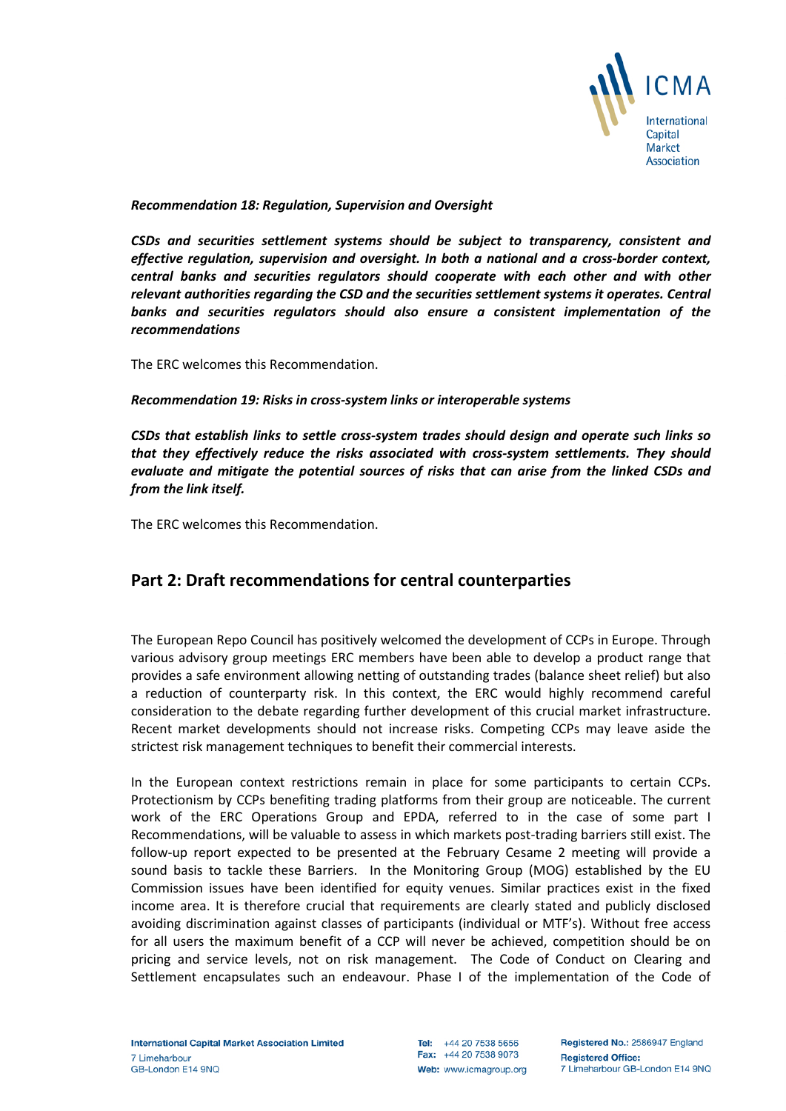

*Recommendation 18: Regulation, Supervision and Oversight*

*CSDs and securities settlement systems should be subject to transparency, consistent and effective regulation, supervision and oversight. In both a national and a cross-border context, central banks and securities regulators should cooperate with each other and with other relevant authorities regarding the CSD and the securities settlement systems it operates. Central banks and securities regulators should also ensure a consistent implementation of the recommendations*

The ERC welcomes this Recommendation.

*Recommendation 19: Risks in cross-system links or interoperable systems*

*CSDs that establish links to settle cross-system trades should design and operate such links so that they effectively reduce the risks associated with cross-system settlements. They should evaluate and mitigate the potential sources of risks that can arise from the linked CSDs and from the link itself.* 

The ERC welcomes this Recommendation.

## **Part 2: Draft recommendations for central counterparties**

The European Repo Council has positively welcomed the development of CCPs in Europe. Through various advisory group meetings ERC members have been able to develop a product range that provides a safe environment allowing netting of outstanding trades (balance sheet relief) but also a reduction of counterparty risk. In this context, the ERC would highly recommend careful consideration to the debate regarding further development of this crucial market infrastructure. Recent market developments should not increase risks. Competing CCPs may leave aside the strictest risk management techniques to benefit their commercial interests.

In the European context restrictions remain in place for some participants to certain CCPs. Protectionism by CCPs benefiting trading platforms from their group are noticeable. The current work of the ERC Operations Group and EPDA, referred to in the case of some part I Recommendations, will be valuable to assess in which markets post-trading barriers still exist. The follow-up report expected to be presented at the February Cesame 2 meeting will provide a sound basis to tackle these Barriers. In the Monitoring Group (MOG) established by the EU Commission issues have been identified for equity venues. Similar practices exist in the fixed income area. It is therefore crucial that requirements are clearly stated and publicly disclosed avoiding discrimination against classes of participants (individual or MTF's). Without free access for all users the maximum benefit of a CCP will never be achieved, competition should be on pricing and service levels, not on risk management. The Code of Conduct on Clearing and Settlement encapsulates such an endeavour. Phase I of the implementation of the Code of

Tel: +44 20 7538 5656 Fax: +44 20 7538 9073 Web: www.icmagroup.org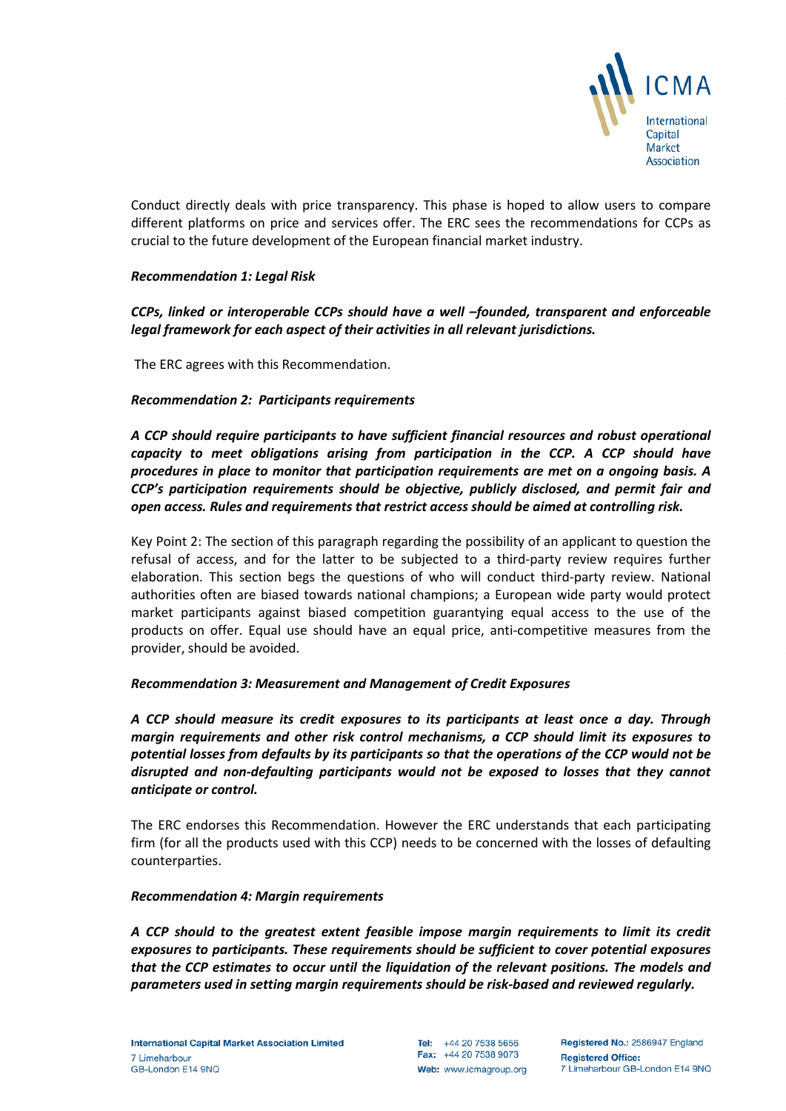

Conduct directly deals with price transparency. This phase is hoped to allow users to compare different platforms on price and services offer. The ERC sees the recommendations for CCPs as crucial to the future development of the European financial market industry.

## *Recommendation 1: Legal Risk*

*CCPs, linked or interoperable CCPs should have a well –founded, transparent and enforceable legal framework for each aspect of their activities in all relevant jurisdictions.* 

The ERC agrees with this Recommendation.

#### *Recommendation 2: Participants requirements*

*A CCP should require participants to have sufficient financial resources and robust operational capacity to meet obligations arising from participation in the CCP. A CCP should have procedures in place to monitor that participation requirements are met on a ongoing basis. A CCP's participation requirements should be objective, publicly disclosed, and permit fair and open access. Rules and requirements that restrict access should be aimed at controlling risk.* 

Key Point 2: The section of this paragraph regarding the possibility of an applicant to question the refusal of access, and for the latter to be subjected to a third-party review requires further elaboration. This section begs the questions of who will conduct third-party review. National authorities often are biased towards national champions; a European wide party would protect market participants against biased competition guarantying equal access to the use of the products on offer. Equal use should have an equal price, anti-competitive measures from the provider, should be avoided.

## *Recommendation 3: Measurement and Management of Credit Exposures*

*A CCP should measure its credit exposures to its participants at least once a day. Through margin requirements and other risk control mechanisms, a CCP should limit its exposures to potential losses from defaults by its participants so that the operations of the CCP would not be disrupted and non-defaulting participants would not be exposed to losses that they cannot anticipate or control.* 

The ERC endorses this Recommendation. However the ERC understands that each participating firm (for all the products used with this CCP) needs to be concerned with the losses of defaulting counterparties.

#### *Recommendation 4: Margin requirements*

*A CCP should to the greatest extent feasible impose margin requirements to limit its credit exposures to participants. These requirements should be sufficient to cover potential exposures that the CCP estimates to occur until the liquidation of the relevant positions. The models and parameters used in setting margin requirements should be risk-based and reviewed regularly.*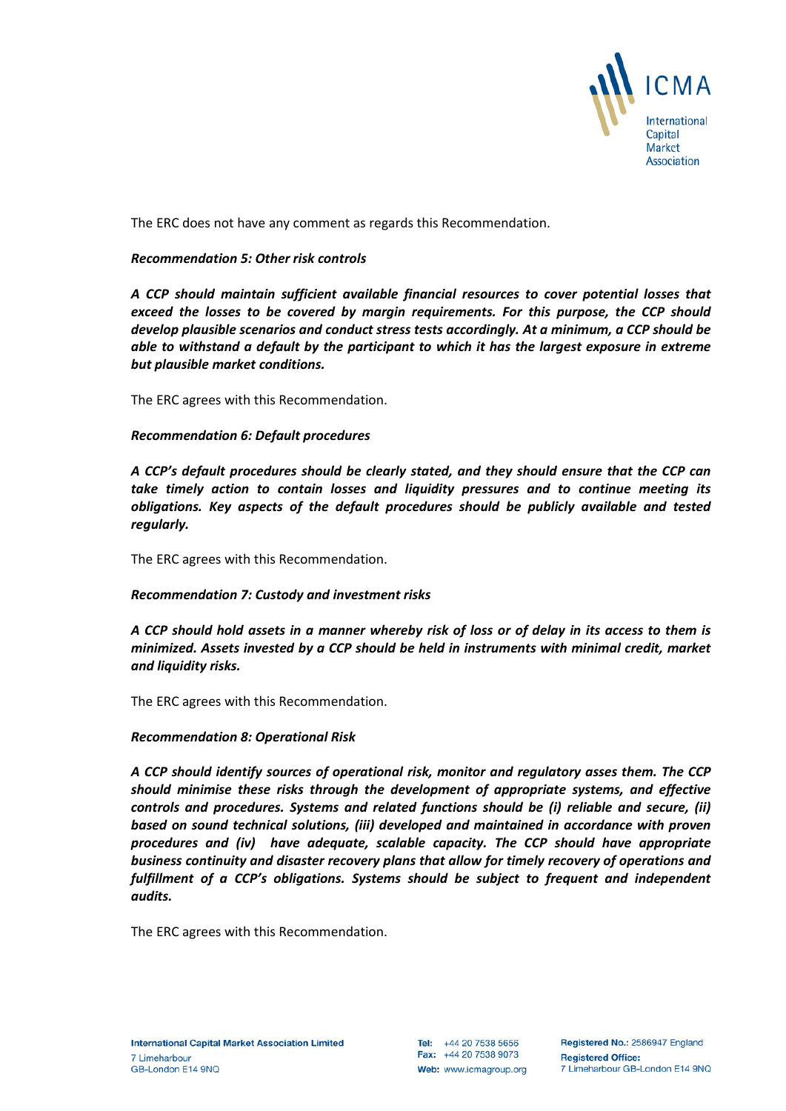

The ERC does not have any comment as regards this Recommendation.

## *Recommendation 5: Other risk controls*

*A CCP should maintain sufficient available financial resources to cover potential losses that exceed the losses to be covered by margin requirements. For this purpose, the CCP should develop plausible scenarios and conduct stress tests accordingly. At a minimum, a CCP should be able to withstand a default by the participant to which it has the largest exposure in extreme but plausible market conditions.* 

The ERC agrees with this Recommendation.

#### *Recommendation 6: Default procedures*

*A CCP's default procedures should be clearly stated, and they should ensure that the CCP can take timely action to contain losses and liquidity pressures and to continue meeting its obligations. Key aspects of the default procedures should be publicly available and tested regularly.* 

The ERC agrees with this Recommendation.

## *Recommendation 7: Custody and investment risks*

*A CCP should hold assets in a manner whereby risk of loss or of delay in its access to them is minimized. Assets invested by a CCP should be held in instruments with minimal credit, market and liquidity risks.* 

The ERC agrees with this Recommendation.

#### *Recommendation 8: Operational Risk*

*A CCP should identify sources of operational risk, monitor and regulatory asses them. The CCP should minimise these risks through the development of appropriate systems, and effective controls and procedures. Systems and related functions should be (i) reliable and secure, (ii) based on sound technical solutions, (iii) developed and maintained in accordance with proven procedures and (iv) have adequate, scalable capacity. The CCP should have appropriate business continuity and disaster recovery plans that allow for timely recovery of operations and*  fulfillment of a CCP's obligations. Systems should be subject to frequent and independent *audits.* 

The ERC agrees with this Recommendation.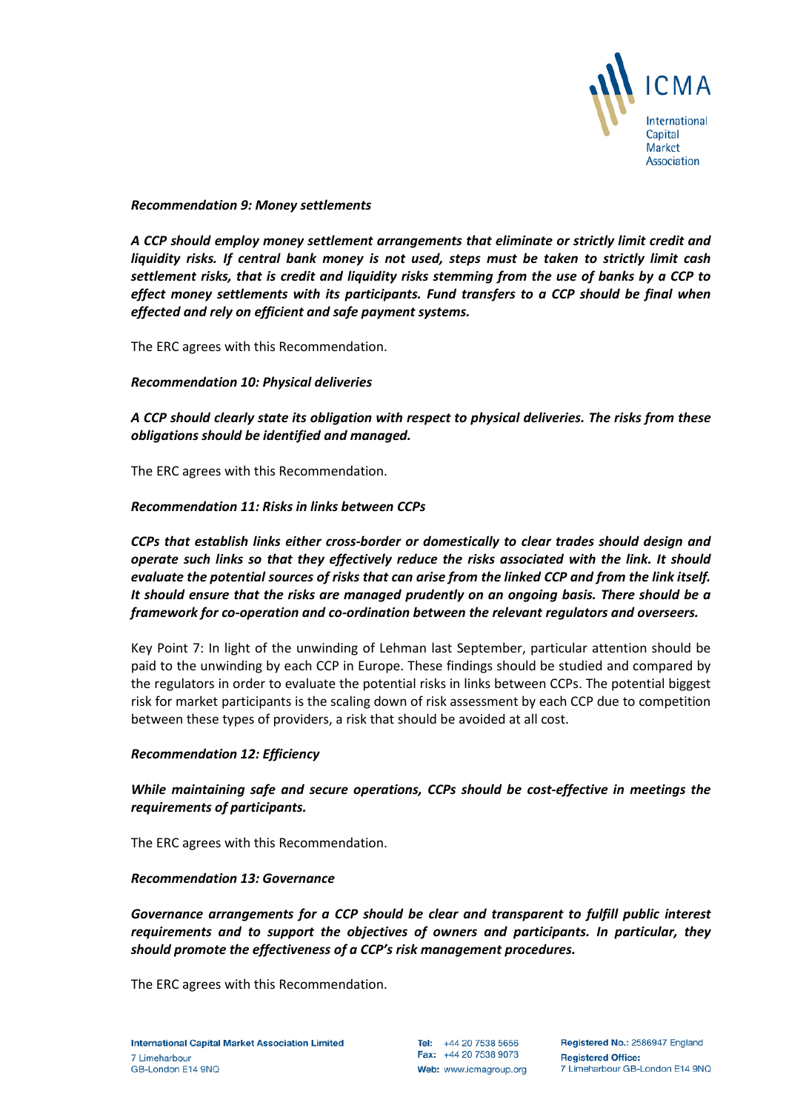

#### *Recommendation 9: Money settlements*

*A CCP should employ money settlement arrangements that eliminate or strictly limit credit and liquidity risks. If central bank money is not used, steps must be taken to strictly limit cash settlement risks, that is credit and liquidity risks stemming from the use of banks by a CCP to effect money settlements with its participants. Fund transfers to a CCP should be final when effected and rely on efficient and safe payment systems.* 

The ERC agrees with this Recommendation.

*Recommendation 10: Physical deliveries*

*A CCP should clearly state its obligation with respect to physical deliveries. The risks from these obligations should be identified and managed.* 

The ERC agrees with this Recommendation.

#### *Recommendation 11: Risks in links between CCPs*

*CCPs that establish links either cross-border or domestically to clear trades should design and operate such links so that they effectively reduce the risks associated with the link. It should evaluate the potential sources of risks that can arise from the linked CCP and from the link itself. It should ensure that the risks are managed prudently on an ongoing basis. There should be a framework for co-operation and co-ordination between the relevant regulators and overseers.* 

Key Point 7: In light of the unwinding of Lehman last September, particular attention should be paid to the unwinding by each CCP in Europe. These findings should be studied and compared by the regulators in order to evaluate the potential risks in links between CCPs. The potential biggest risk for market participants is the scaling down of risk assessment by each CCP due to competition between these types of providers, a risk that should be avoided at all cost.

#### *Recommendation 12: Efficiency*

## *While maintaining safe and secure operations, CCPs should be cost-effective in meetings the requirements of participants.*

The ERC agrees with this Recommendation.

#### *Recommendation 13: Governance*

*Governance arrangements for a CCP should be clear and transparent to fulfill public interest requirements and to support the objectives of owners and participants. In particular, they should promote the effectiveness of a CCP's risk management procedures.* 

The ERC agrees with this Recommendation.